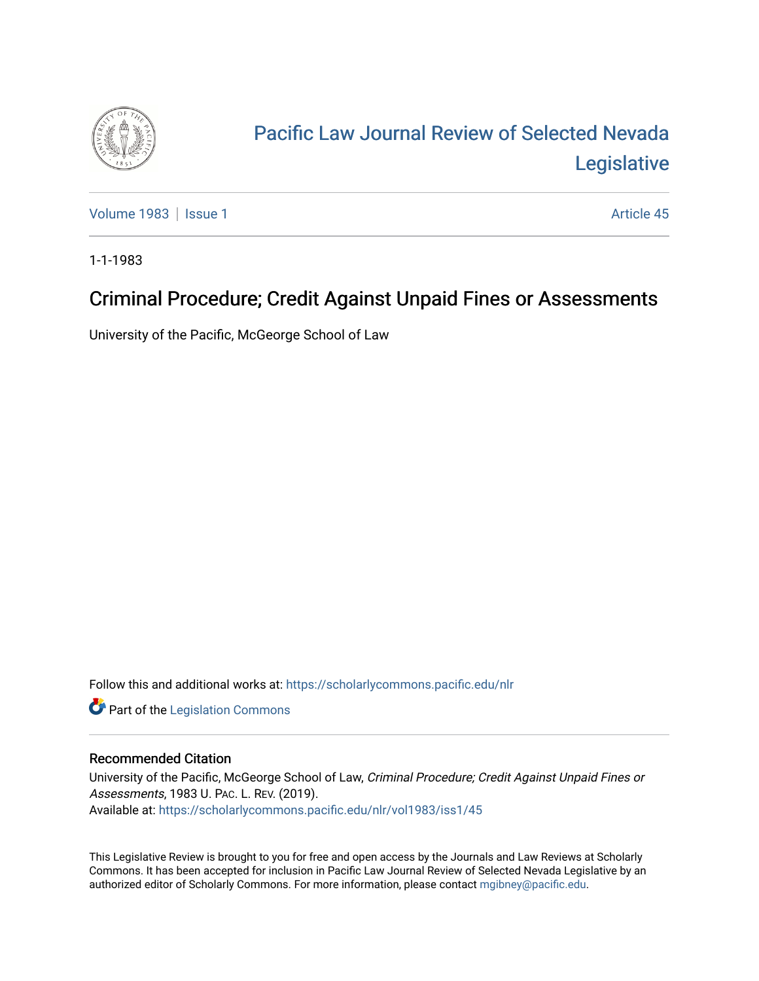

# [Pacific Law Journal Review of Selected Nevada](https://scholarlycommons.pacific.edu/nlr)  [Legislative](https://scholarlycommons.pacific.edu/nlr)

[Volume 1983](https://scholarlycommons.pacific.edu/nlr/vol1983) | [Issue 1](https://scholarlycommons.pacific.edu/nlr/vol1983/iss1) Article 45

1-1-1983

## Criminal Procedure; Credit Against Unpaid Fines or Assessments

University of the Pacific, McGeorge School of Law

Follow this and additional works at: [https://scholarlycommons.pacific.edu/nlr](https://scholarlycommons.pacific.edu/nlr?utm_source=scholarlycommons.pacific.edu%2Fnlr%2Fvol1983%2Fiss1%2F45&utm_medium=PDF&utm_campaign=PDFCoverPages) 

**Part of the [Legislation Commons](http://network.bepress.com/hgg/discipline/859?utm_source=scholarlycommons.pacific.edu%2Fnlr%2Fvol1983%2Fiss1%2F45&utm_medium=PDF&utm_campaign=PDFCoverPages)** 

### Recommended Citation

University of the Pacific, McGeorge School of Law, Criminal Procedure; Credit Against Unpaid Fines or Assessments, 1983 U. PAC. L. REV. (2019). Available at: [https://scholarlycommons.pacific.edu/nlr/vol1983/iss1/45](https://scholarlycommons.pacific.edu/nlr/vol1983/iss1/45?utm_source=scholarlycommons.pacific.edu%2Fnlr%2Fvol1983%2Fiss1%2F45&utm_medium=PDF&utm_campaign=PDFCoverPages)

This Legislative Review is brought to you for free and open access by the Journals and Law Reviews at Scholarly Commons. It has been accepted for inclusion in Pacific Law Journal Review of Selected Nevada Legislative by an authorized editor of Scholarly Commons. For more information, please contact [mgibney@pacific.edu](mailto:mgibney@pacific.edu).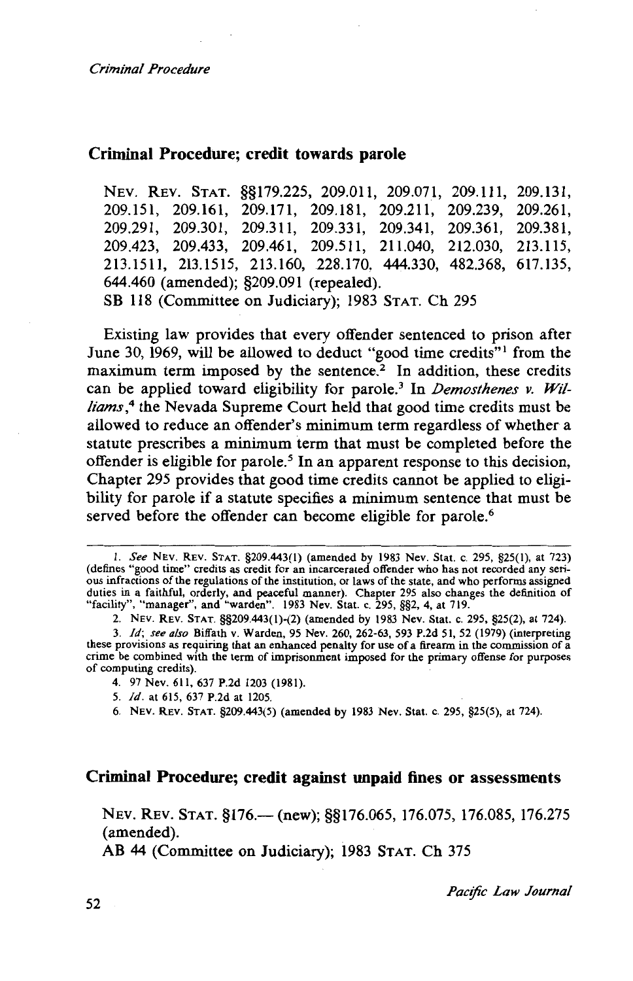#### Criminal Procedure; credit towards parole

NEv. REv. STAT. §§179.225, 209.011, 209.071, 209.111, 209.131, 209.151, 209.161, 209.171, 209.181, 209.211, 209.239, 209.261, 209.291, 209.301, 209.311, 209.331, 209.341, 209.361, 209.381, 209.423, 209.433, 209.461, 209.511, 211.040, 212.030, 213.115, 213.1511, 213.1515, 213.160, 228.170, 444.330, 482.368, 617.135, 644.460 (amended); §209.091 (repealed). SB 118 (Committee on Judiciary); 1983 STAT. Ch 295

Existing law provides that every offender sentenced to prison after June 30, 1969, will be allowed to deduct "good time credits"<sup>1</sup> from the maximum term imposed by the sentence? In addition, these credits can be applied toward eligibility for parole.<sup>3</sup> In *Demosthenes v. Wil*liams,<sup>4</sup> the Nevada Supreme Court held that good time credits must be allowed to reduce an offender's minimum term regardless of whether a statute prescribes a minimum term that must be completed before the offender is eligible for parole. *<sup>5</sup>*In an apparent response to this decision, Chapter 295 provides that good time credits cannot be applied to eligibility for parole if a statute specifies a minimum sentence that must be served before the offender can become eligible for parole.<sup>6</sup>

#### Criminal Procedure; credit against unpaid fines or assessments

NEV. REV. STAT. §176.— (new); §§176.065, 176.075, 176.085, 176.275 (amended).

AB 44 (Committee on Judiciary); 1983 STAT. Ch 375

*Pac!fic Law Journal* 

I. *See* NEv. REv. STAT. §209.443(1) (amended by 1983 Nev. Stat. c. 295, §25(1), at 723) (defines "good time" credits as credit for an incarcerated offender who has not recorded any serious infractions of the regulations of the institution, or laws of the state, and who performs assigned duties in a faithful, orderly, and peaceful manner). Chapter 295 also changes the definition of "facility", "manager", and "warden". 1983 Nev. Stat. c. 295, §§2, 4, at 719.

<sup>2.</sup> NEv. REv. STAT. §§209.443(1)-(2) (amended by 1983 Nev. Stat. c. 295, §25(2), at 724).

<sup>3.</sup> *Id; see also* Biffath v. Warden, 95 Nev. 260, 262-63, 593 P.2d 51, 52 (1979) (interpreting these provisions as requiring that an enhanced penalty for use of a firearm in the commission of a crime be combined with the term of imprisonment imposed for the primary offense for purposes of computing credits).

<sup>4. 97</sup> Nev. 611, 637 P.2d 1203 (1981).

<sup>5.</sup> *Id.* at 6!5, 637 P.2d at 1205.

<sup>6.</sup> NEv. REv. STAT. §209.443(5) (amended by 1983 Nev. Stat. c. 295, §25(5), at 724).